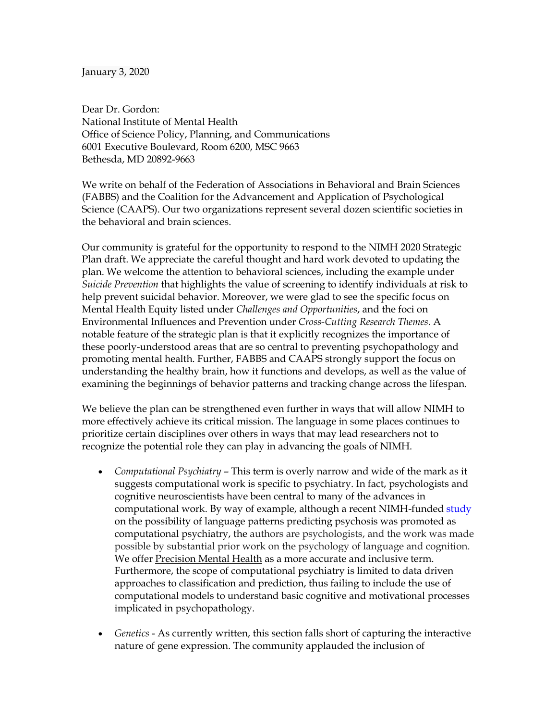## January 3, 2020

Dear Dr. Gordon: National Institute of Mental Health Office of Science Policy, Planning, and Communications 6001 Executive Boulevard, Room 6200, MSC 9663 Bethesda, MD 20892-9663

We write on behalf of the Federation of Associations in Behavioral and Brain Sciences (FABBS) and the Coalition for the Advancement and Application of Psychological Science (CAAPS). Our two organizations represent several dozen scientific societies in the behavioral and brain sciences.

Our community is grateful for the opportunity to respond to the NIMH 2020 Strategic Plan draft. We appreciate the careful thought and hard work devoted to updating the plan. We welcome the attention to behavioral sciences, including the example under *Suicide Prevention* that highlights the value of screening to identify individuals at risk to help prevent suicidal behavior. Moreover, we were glad to see the specific focus on Mental Health Equity listed under *Challenges and Opportunities*, and the foci on Environmental Influences and Prevention under *Cross-Cutting Research Themes.* A notable feature of the strategic plan is that it explicitly recognizes the importance of these poorly-understood areas that are so central to preventing psychopathology and promoting mental health. Further, FABBS and CAAPS strongly support the focus on understanding the healthy brain, how it functions and develops, as well as the value of examining the beginnings of behavior patterns and tracking change across the lifespan.

We believe the plan can be strengthened even further in ways that will allow NIMH to more effectively achieve its critical mission. The language in some places continues to prioritize certain disciplines over others in ways that may lead researchers not to recognize the potential role they can play in advancing the goals of NIMH.

- *Computational Psychiatry*  This term is overly narrow and wide of the mark as it suggests computational work is specific to psychiatry. In fact, psychologists and cognitive neuroscientists have been central to many of the advances in computational work. By way of example, although a recent NIMH-funded study on the possibility of language patterns predicting psychosis was promoted as computational psychiatry, the authors are psychologists, and the work was made possible by substantial prior work on the psychology of language and cognition. We offer Precision Mental Health as a more accurate and inclusive term. Furthermore, the scope of computational psychiatry is limited to data driven approaches to classification and prediction, thus failing to include the use of computational models to understand basic cognitive and motivational processes implicated in psychopathology.
- *Genetics*  As currently written, this section falls short of capturing the interactive nature of gene expression. The community applauded the inclusion of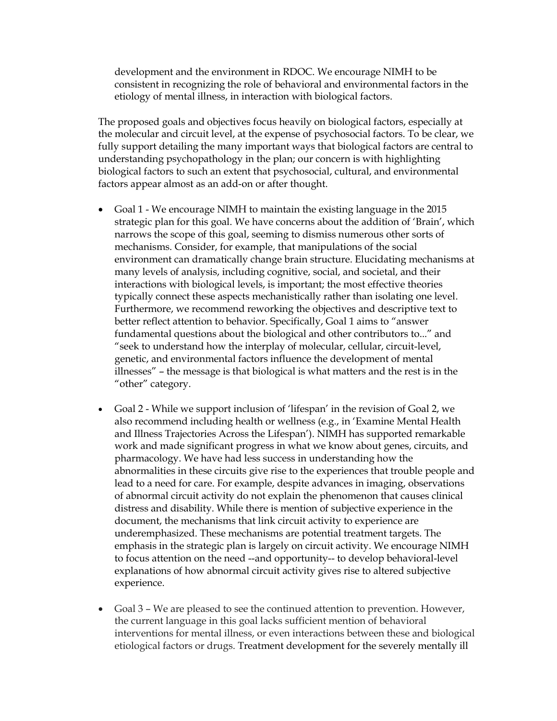development and the environment in RDOC. We encourage NIMH to be consistent in recognizing the role of behavioral and environmental factors in the etiology of mental illness, in interaction with biological factors.

The proposed goals and objectives focus heavily on biological factors, especially at the molecular and circuit level, at the expense of psychosocial factors. To be clear, we fully support detailing the many important ways that biological factors are central to understanding psychopathology in the plan; our concern is with highlighting biological factors to such an extent that psychosocial, cultural, and environmental factors appear almost as an add-on or after thought.

- Goal 1 We encourage NIMH to maintain the existing language in the 2015 strategic plan for this goal. We have concerns about the addition of 'Brain', which narrows the scope of this goal, seeming to dismiss numerous other sorts of mechanisms. Consider, for example, that manipulations of the social environment can dramatically change brain structure. Elucidating mechanisms at many levels of analysis, including cognitive, social, and societal, and their interactions with biological levels, is important; the most effective theories typically connect these aspects mechanistically rather than isolating one level. Furthermore, we recommend reworking the objectives and descriptive text to better reflect attention to behavior. Specifically, Goal 1 aims to "answer fundamental questions about the biological and other contributors to..." and "seek to understand how the interplay of molecular, cellular, circuit-level, genetic, and environmental factors influence the development of mental illnesses" – the message is that biological is what matters and the rest is in the "other" category.
- Goal 2 While we support inclusion of 'lifespan' in the revision of Goal 2, we also recommend including health or wellness (e.g., in 'Examine Mental Health and Illness Trajectories Across the Lifespan'). NIMH has supported remarkable work and made significant progress in what we know about genes, circuits, and pharmacology. We have had less success in understanding how the abnormalities in these circuits give rise to the experiences that trouble people and lead to a need for care. For example, despite advances in imaging, observations of abnormal circuit activity do not explain the phenomenon that causes clinical distress and disability. While there is mention of subjective experience in the document, the mechanisms that link circuit activity to experience are underemphasized. These mechanisms are potential treatment targets. The emphasis in the strategic plan is largely on circuit activity. We encourage NIMH to focus attention on the need --and opportunity-- to develop behavioral-level explanations of how abnormal circuit activity gives rise to altered subjective experience.
- Goal 3 We are pleased to see the continued attention to prevention. However, the current language in this goal lacks sufficient mention of behavioral interventions for mental illness, or even interactions between these and biological etiological factors or drugs. Treatment development for the severely mentally ill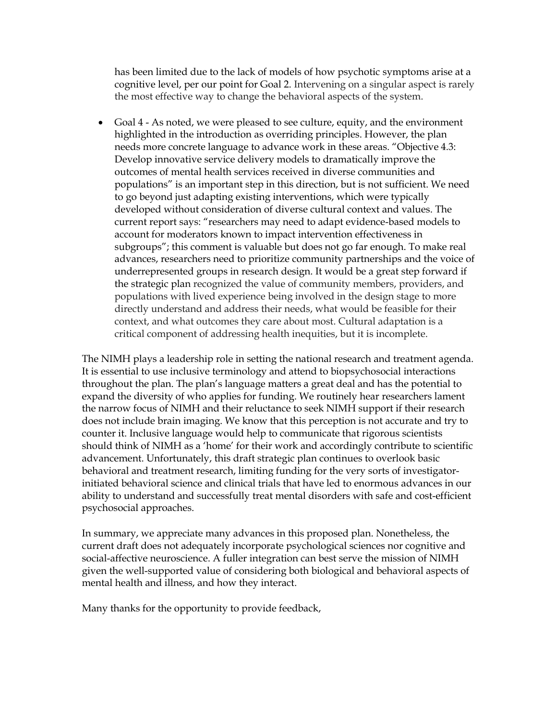has been limited due to the lack of models of how psychotic symptoms arise at a cognitive level, per our point for Goal 2. Intervening on a singular aspect is rarely the most effective way to change the behavioral aspects of the system.

 Goal 4 - As noted, we were pleased to see culture, equity, and the environment highlighted in the introduction as overriding principles. However, the plan needs more concrete language to advance work in these areas. "Objective 4.3: Develop innovative service delivery models to dramatically improve the outcomes of mental health services received in diverse communities and populations" is an important step in this direction, but is not sufficient. We need to go beyond just adapting existing interventions, which were typically developed without consideration of diverse cultural context and values. The current report says: "researchers may need to adapt evidence-based models to account for moderators known to impact intervention effectiveness in subgroups"; this comment is valuable but does not go far enough. To make real advances, researchers need to prioritize community partnerships and the voice of underrepresented groups in research design. It would be a great step forward if the strategic plan recognized the value of community members, providers, and populations with lived experience being involved in the design stage to more directly understand and address their needs, what would be feasible for their context, and what outcomes they care about most. Cultural adaptation is a critical component of addressing health inequities, but it is incomplete.

The NIMH plays a leadership role in setting the national research and treatment agenda. It is essential to use inclusive terminology and attend to biopsychosocial interactions throughout the plan. The plan's language matters a great deal and has the potential to expand the diversity of who applies for funding. We routinely hear researchers lament the narrow focus of NIMH and their reluctance to seek NIMH support if their research does not include brain imaging. We know that this perception is not accurate and try to counter it. Inclusive language would help to communicate that rigorous scientists should think of NIMH as a 'home' for their work and accordingly contribute to scientific advancement. Unfortunately, this draft strategic plan continues to overlook basic behavioral and treatment research, limiting funding for the very sorts of investigatorinitiated behavioral science and clinical trials that have led to enormous advances in our ability to understand and successfully treat mental disorders with safe and cost-efficient psychosocial approaches.

In summary, we appreciate many advances in this proposed plan. Nonetheless, the current draft does not adequately incorporate psychological sciences nor cognitive and social-affective neuroscience. A fuller integration can best serve the mission of NIMH given the well-supported value of considering both biological and behavioral aspects of mental health and illness, and how they interact.

Many thanks for the opportunity to provide feedback,